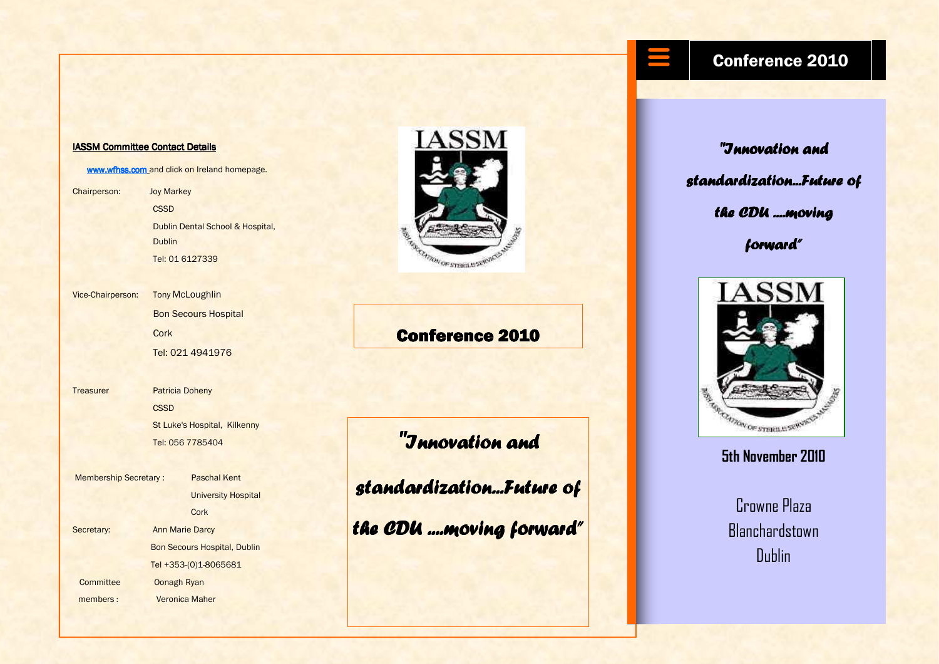### IASSM Committee Contact Details

www.wfhss.com and click on Ireland homepage.

Chairperson: Joy Markey **CSSD**  Dublin Dental School & Hospital, **Dublin** Tel: 01 6127339

Vice-Chairperson: **Tony McLoughlin**  Bon Secours Hospital **Cork** 

Tel: 021 4941976

Treasurer Patricia Doheny **CSSD**  St Luke's Hospital, Kilkenny Tel: 056 7785404

Membership Secretary : Paschal Kent University Hospital **Cork** Secretary: Ann Marie Darcy Bon Secours Hospital, Dublin Tel +353-(0)1-8065681 Committee Oonagh Ryan members : Veronica Maher



## **Conference 2010**

"Innovation and

standardization...Future of

the CDU ....moving forward"

# "Innovation and standardization...Future of the CDU ....moving forward"

Conference 2010



### 5th November 2010

Crowne Plaza **Blanchardstown** Dublin